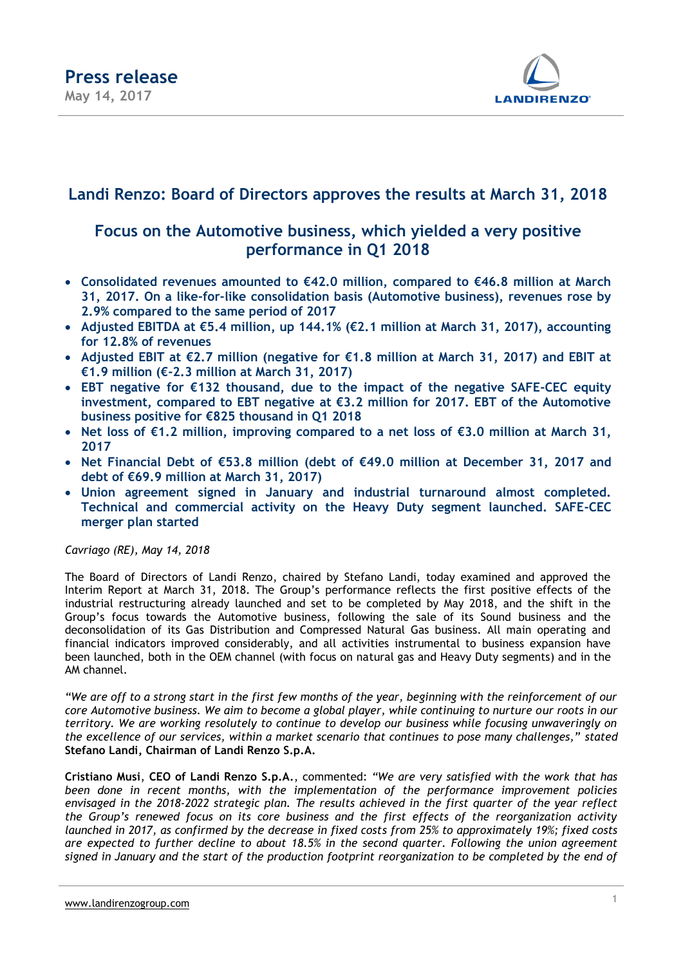

### **Landi Renzo: Board of Directors approves the results at March 31, 2018**

### **Focus on the Automotive business, which yielded a very positive performance in Q1 2018**

- **Consolidated revenues amounted to €42.0 million, compared to €46.8 million at March 31, 2017. On a like-for-like consolidation basis (Automotive business), revenues rose by 2.9% compared to the same period of 2017**
- **Adjusted EBITDA at €5.4 million, up 144.1% (€2.1 million at March 31, 2017), accounting for 12.8% of revenues**
- **Adjusted EBIT at €2.7 million (negative for €1.8 million at March 31, 2017) and EBIT at €1.9 million (€-2.3 million at March 31, 2017)**
- **EBT negative for €132 thousand, due to the impact of the negative SAFE-CEC equity investment, compared to EBT negative at €3.2 million for 2017. EBT of the Automotive business positive for €825 thousand in Q1 2018**
- **Net loss of €1.2 million, improving compared to a net loss of €3.0 million at March 31, 2017**
- **Net Financial Debt of €53.8 million (debt of €49.0 million at December 31, 2017 and debt of €69.9 million at March 31, 2017)**
- **Union agreement signed in January and industrial turnaround almost completed. Technical and commercial activity on the Heavy Duty segment launched. SAFE-CEC merger plan started**

#### *Cavriago (RE), May 14, 2018*

The Board of Directors of Landi Renzo, chaired by Stefano Landi, today examined and approved the Interim Report at March 31, 2018. The Group's performance reflects the first positive effects of the industrial restructuring already launched and set to be completed by May 2018, and the shift in the Group's focus towards the Automotive business, following the sale of its Sound business and the deconsolidation of its Gas Distribution and Compressed Natural Gas business. All main operating and financial indicators improved considerably, and all activities instrumental to business expansion have been launched, both in the OEM channel (with focus on natural gas and Heavy Duty segments) and in the AM channel.

*"We are off to a strong start in the first few months of the year, beginning with the reinforcement of our core Automotive business. We aim to become a global player, while continuing to nurture our roots in our territory. We are working resolutely to continue to develop our business while focusing unwaveringly on the excellence of our services, within a market scenario that continues to pose many challenges," stated* **Stefano Landi, Chairman of Landi Renzo S.p.A.** 

**Cristiano Musi**, **CEO of Landi Renzo S.p.A.**, commented: *"We are very satisfied with the work that has been done in recent months, with the implementation of the performance improvement policies envisaged in the 2018-2022 strategic plan. The results achieved in the first quarter of the year reflect the Group's renewed focus on its core business and the first effects of the reorganization activity launched in 2017, as confirmed by the decrease in fixed costs from 25% to approximately 19%; fixed costs are expected to further decline to about 18.5% in the second quarter. Following the union agreement signed in January and the start of the production footprint reorganization to be completed by the end of*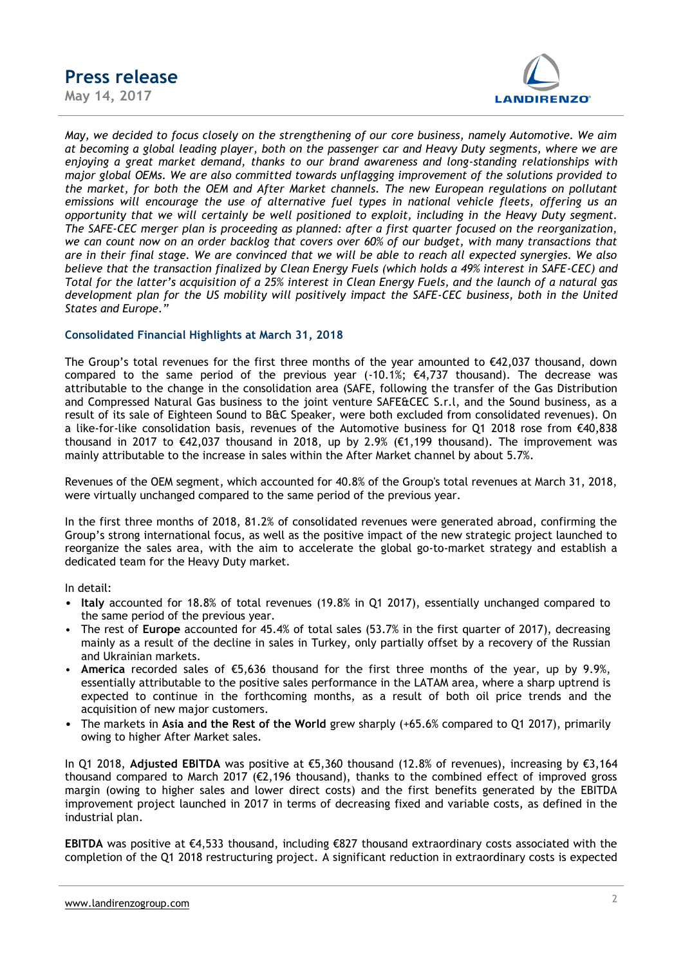**May 14, 2017**



*May, we decided to focus closely on the strengthening of our core business, namely Automotive. We aim at becoming a global leading player, both on the passenger car and Heavy Duty segments, where we are enjoying a great market demand, thanks to our brand awareness and long-standing relationships with major global OEMs. We are also committed towards unflagging improvement of the solutions provided to the market, for both the OEM and After Market channels. The new European regulations on pollutant emissions will encourage the use of alternative fuel types in national vehicle fleets, offering us an opportunity that we will certainly be well positioned to exploit, including in the Heavy Duty segment. The SAFE-CEC merger plan is proceeding as planned: after a first quarter focused on the reorganization, we can count now on an order backlog that covers over 60% of our budget, with many transactions that are in their final stage. We are convinced that we will be able to reach all expected synergies. We also believe that the transaction finalized by Clean Energy Fuels (which holds a 49% interest in SAFE-CEC) and Total for the latter's acquisition of a 25% interest in Clean Energy Fuels, and the launch of a natural gas development plan for the US mobility will positively impact the SAFE-CEC business, both in the United States and Europe."*

#### **Consolidated Financial Highlights at March 31, 2018**

The Group's total revenues for the first three months of the year amounted to €42,037 thousand, down compared to the same period of the previous year  $(-10.1\%; \, \epsilon 4.737$  thousand). The decrease was attributable to the change in the consolidation area (SAFE, following the transfer of the Gas Distribution and Compressed Natural Gas business to the joint venture SAFE&CEC S.r.l, and the Sound business, as a result of its sale of Eighteen Sound to B&C Speaker, were both excluded from consolidated revenues). On a like-for-like consolidation basis, revenues of the Automotive business for Q1 2018 rose from €40,838 thousand in 2017 to  $\epsilon$ 42,037 thousand in 2018, up by 2.9% ( $\epsilon$ 1,199 thousand). The improvement was mainly attributable to the increase in sales within the After Market channel by about 5.7%.

Revenues of the OEM segment, which accounted for 40.8% of the Group's total revenues at March 31, 2018, were virtually unchanged compared to the same period of the previous year.

In the first three months of 2018, 81.2% of consolidated revenues were generated abroad, confirming the Group's strong international focus, as well as the positive impact of the new strategic project launched to reorganize the sales area, with the aim to accelerate the global go-to-market strategy and establish a dedicated team for the Heavy Duty market.

In detail:

- **Italy** accounted for 18.8% of total revenues (19.8% in Q1 2017), essentially unchanged compared to the same period of the previous year.
- The rest of **Europe** accounted for 45.4% of total sales (53.7% in the first quarter of 2017), decreasing mainly as a result of the decline in sales in Turkey, only partially offset by a recovery of the Russian and Ukrainian markets.
- **America** recorded sales of €5,636 thousand for the first three months of the year, up by 9.9%, essentially attributable to the positive sales performance in the LATAM area, where a sharp uptrend is expected to continue in the forthcoming months, as a result of both oil price trends and the acquisition of new major customers.
- The markets in **Asia and the Rest of the World** grew sharply (+65.6% compared to Q1 2017), primarily owing to higher After Market sales.

In Q1 2018, **Adjusted EBITDA** was positive at €5,360 thousand (12.8% of revenues), increasing by €3,164 thousand compared to March 2017 (€2,196 thousand), thanks to the combined effect of improved gross margin (owing to higher sales and lower direct costs) and the first benefits generated by the EBITDA improvement project launched in 2017 in terms of decreasing fixed and variable costs, as defined in the industrial plan.

**EBITDA** was positive at €4,533 thousand, including €827 thousand extraordinary costs associated with the completion of the Q1 2018 restructuring project. A significant reduction in extraordinary costs is expected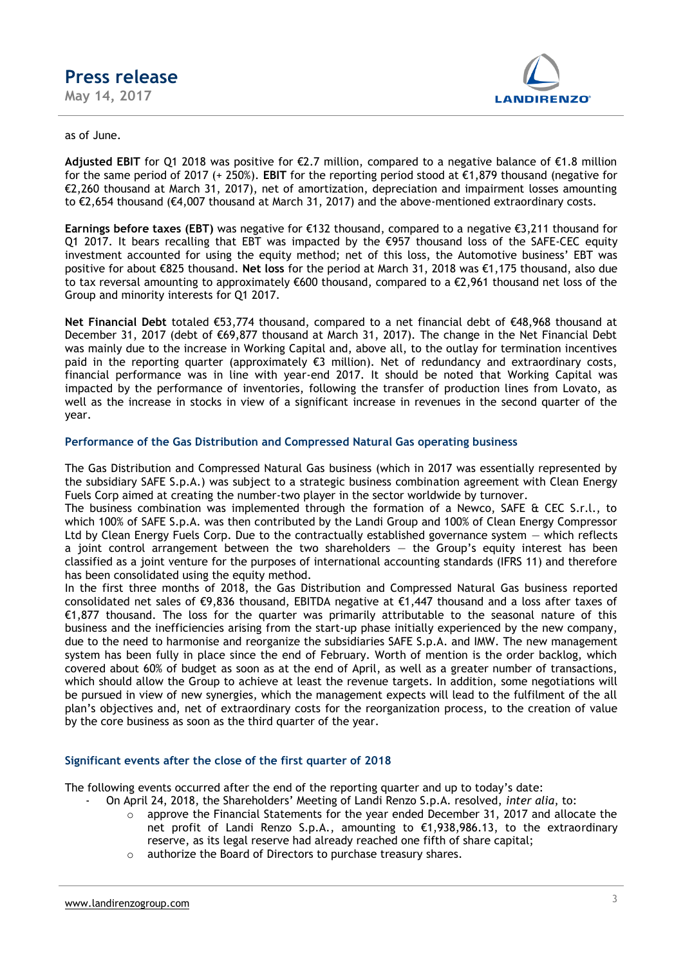### **Press release May 14, 2017**

**LANDIRENZO** 

#### as of June.

**Adjusted EBIT** for Q1 2018 was positive for €2.7 million, compared to a negative balance of €1.8 million for the same period of 2017 (+ 250%). **EBIT** for the reporting period stood at €1,879 thousand (negative for €2,260 thousand at March 31, 2017), net of amortization, depreciation and impairment losses amounting to €2,654 thousand (€4,007 thousand at March 31, 2017) and the above-mentioned extraordinary costs.

**Earnings before taxes (EBT)** was negative for €132 thousand, compared to a negative €3,211 thousand for Q1 2017. It bears recalling that EBT was impacted by the €957 thousand loss of the SAFE-CEC equity investment accounted for using the equity method; net of this loss, the Automotive business' EBT was positive for about €825 thousand. **Net loss** for the period at March 31, 2018 was €1,175 thousand, also due to tax reversal amounting to approximately €600 thousand, compared to a €2,961 thousand net loss of the Group and minority interests for Q1 2017.

**Net Financial Debt** totaled €53,774 thousand, compared to a net financial debt of €48,968 thousand at December 31, 2017 (debt of €69,877 thousand at March 31, 2017). The change in the Net Financial Debt was mainly due to the increase in Working Capital and, above all, to the outlay for termination incentives paid in the reporting quarter (approximately €3 million). Net of redundancy and extraordinary costs, financial performance was in line with year-end 2017. It should be noted that Working Capital was impacted by the performance of inventories, following the transfer of production lines from Lovato, as well as the increase in stocks in view of a significant increase in revenues in the second quarter of the year.

#### **Performance of the Gas Distribution and Compressed Natural Gas operating business**

The Gas Distribution and Compressed Natural Gas business (which in 2017 was essentially represented by the subsidiary SAFE S.p.A.) was subject to a strategic business combination agreement with Clean Energy Fuels Corp aimed at creating the number-two player in the sector worldwide by turnover.

The business combination was implemented through the formation of a Newco, SAFE & CEC S.r.l., to which 100% of SAFE S.p.A. was then contributed by the Landi Group and 100% of Clean Energy Compressor Ltd by Clean Energy Fuels Corp. Due to the contractually established governance system — which reflects a joint control arrangement between the two shareholders  $-$  the Group's equity interest has been classified as a joint venture for the purposes of international accounting standards (IFRS 11) and therefore has been consolidated using the equity method.

In the first three months of 2018, the Gas Distribution and Compressed Natural Gas business reported consolidated net sales of €9,836 thousand, EBITDA negative at €1,447 thousand and a loss after taxes of €1,877 thousand. The loss for the quarter was primarily attributable to the seasonal nature of this business and the inefficiencies arising from the start-up phase initially experienced by the new company, due to the need to harmonise and reorganize the subsidiaries SAFE S.p.A. and IMW. The new management system has been fully in place since the end of February. Worth of mention is the order backlog, which covered about 60% of budget as soon as at the end of April, as well as a greater number of transactions, which should allow the Group to achieve at least the revenue targets. In addition, some negotiations will be pursued in view of new synergies, which the management expects will lead to the fulfilment of the all plan's objectives and, net of extraordinary costs for the reorganization process, to the creation of value by the core business as soon as the third quarter of the year.

#### **Significant events after the close of the first quarter of 2018**

The following events occurred after the end of the reporting quarter and up to today's date:

- On April 24, 2018, the Shareholders' Meeting of Landi Renzo S.p.A. resolved, *inter alia*, to:
	- $\circ$  approve the Financial Statements for the year ended December 31, 2017 and allocate the net profit of Landi Renzo S.p.A., amounting to €1,938,986.13, to the extraordinary reserve, as its legal reserve had already reached one fifth of share capital;
	- o authorize the Board of Directors to purchase treasury shares.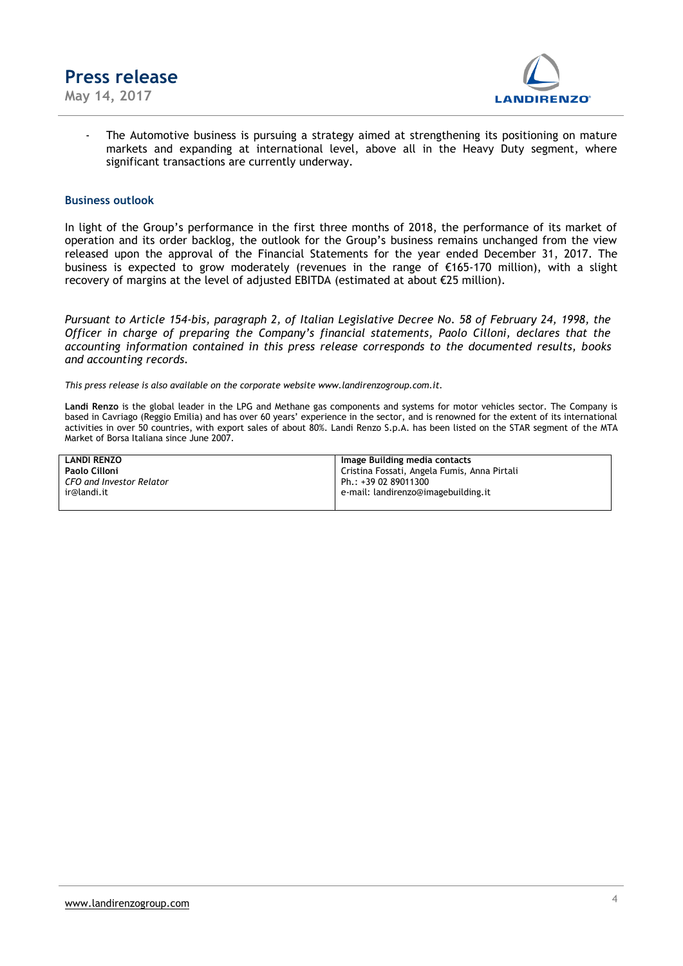

**May 14, 2017**



The Automotive business is pursuing a strategy aimed at strengthening its positioning on mature markets and expanding at international level, above all in the Heavy Duty segment, where significant transactions are currently underway.

#### **Business outlook**

In light of the Group's performance in the first three months of 2018, the performance of its market of operation and its order backlog, the outlook for the Group's business remains unchanged from the view released upon the approval of the Financial Statements for the year ended December 31, 2017. The business is expected to grow moderately (revenues in the range of €165-170 million), with a slight recovery of margins at the level of adjusted EBITDA (estimated at about €25 million).

*Pursuant to Article 154-bis, paragraph 2, of Italian Legislative Decree No. 58 of February 24, 1998, the Officer in charge of preparing the Company's financial statements, Paolo Cilloni, declares that the accounting information contained in this press release corresponds to the documented results, books and accounting records.*

*This press release is also available on the corporate website www.landirenzogroup.com.it.*

**Landi Renzo** is the global leader in the LPG and Methane gas components and systems for motor vehicles sector. The Company is based in Cavriago (Reggio Emilia) and has over 60 years' experience in the sector, and is renowned for the extent of its international activities in over 50 countries, with export sales of about 80%. Landi Renzo S.p.A. has been listed on the STAR segment of the MTA Market of Borsa Italiana since June 2007.

| <b>LANDI RENZO</b>              | Image Building media contacts                |
|---------------------------------|----------------------------------------------|
| Paolo Cilloni                   | Cristina Fossati, Angela Fumis, Anna Pirtali |
| <b>CFO and Investor Relator</b> | Ph.: +39 02 89011300                         |
| ir@landi.it                     | e-mail: landirenzo@imagebuilding.it          |
|                                 |                                              |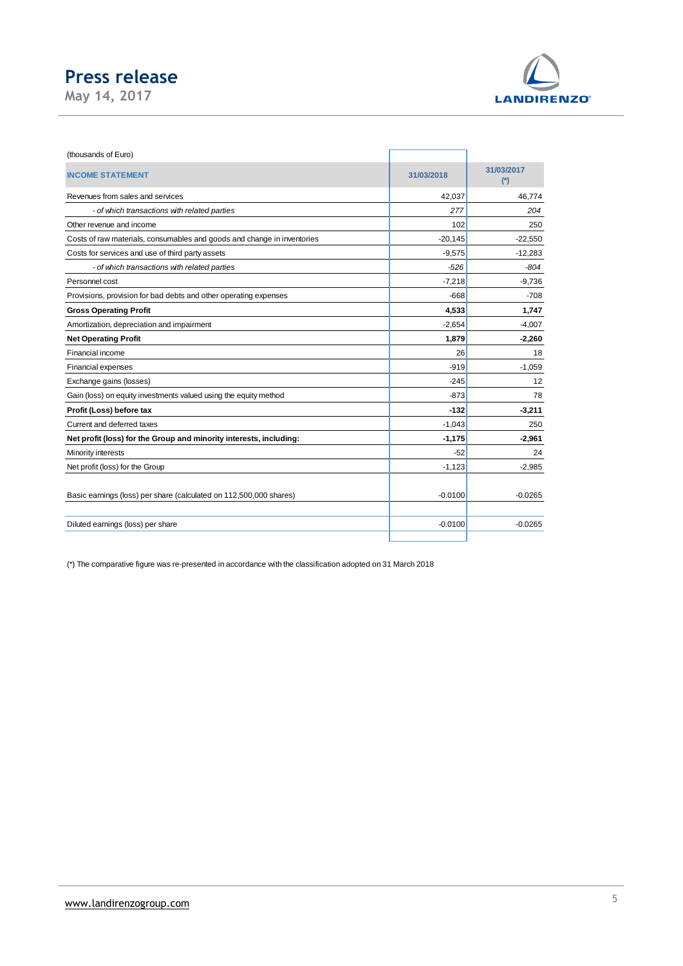**May 14, 2017**



| (thousands of Euro)                                                     |            |                     |
|-------------------------------------------------------------------------|------------|---------------------|
| <b>INCOME STATEMENT</b>                                                 | 31/03/2018 | 31/03/2017<br>$(*)$ |
| Revenues from sales and services                                        | 42,037     | 46,774              |
| - of which transactions with related parties                            | 277        | 204                 |
| Other revenue and income                                                | 102        | 250                 |
| Costs of raw materials, consumables and goods and change in inventories | $-20,145$  | $-22,550$           |
| Costs for services and use of third party assets                        | $-9,575$   | $-12,283$           |
| - of which transactions with related parties                            | $-526$     | $-804$              |
| Personnel cost                                                          | $-7,218$   | $-9,736$            |
| Provisions, provision for bad debts and other operating expenses        | $-668$     | $-708$              |
| <b>Gross Operating Profit</b>                                           | 4,533      | 1,747               |
| Amortization, depreciation and impairment                               | $-2,654$   | $-4,007$            |
| <b>Net Operating Profit</b>                                             | 1,879      | $-2,260$            |
| Financial income                                                        | 26         | 18                  |
| <b>Financial expenses</b>                                               | $-919$     | $-1,059$            |
| Exchange gains (losses)                                                 | $-245$     | 12                  |
| Gain (loss) on equity investments valued using the equity method        | $-873$     | 78                  |
| Profit (Loss) before tax                                                | $-132$     | $-3,211$            |
| Current and deferred taxes                                              | $-1,043$   | 250                 |
| Net profit (loss) for the Group and minority interests, including:      | $-1,175$   | $-2,961$            |
| Minority interests                                                      | $-52$      | 24                  |
| Net profit (loss) for the Group                                         | $-1,123$   | $-2,985$            |
|                                                                         |            |                     |
| Basic earnings (loss) per share (calculated on 112,500,000 shares)      | $-0.0100$  | $-0.0265$           |
|                                                                         |            |                     |
| Diluted earnings (loss) per share                                       | $-0.0100$  | $-0.0265$           |

(\*) The comparative figure was re-presented in accordance with the classification adopted on 31 March 2018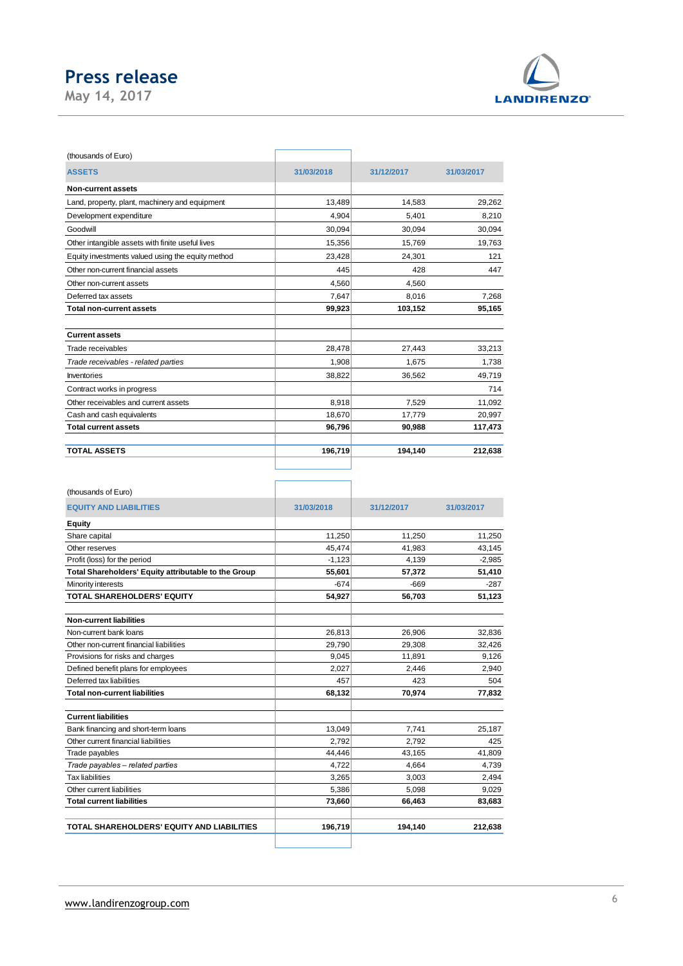**May 14, 2017**



| (thousands of Euro)                               |            |            |            |
|---------------------------------------------------|------------|------------|------------|
| <b>ASSETS</b>                                     | 31/03/2018 | 31/12/2017 | 31/03/2017 |
| <b>Non-current assets</b>                         |            |            |            |
| Land, property, plant, machinery and equipment    | 13.489     | 14.583     | 29,262     |
| Development expenditure                           | 4.904      | 5,401      | 8,210      |
| Goodwill                                          | 30.094     | 30.094     | 30,094     |
| Other intangible assets with finite useful lives  | 15,356     | 15,769     | 19,763     |
| Equity investments valued using the equity method | 23,428     | 24,301     | 121        |
| Other non-current financial assets                | 445        | 428        | 447        |
| Other non-current assets                          | 4.560      | 4.560      |            |
| Deferred tax assets                               | 7.647      | 8.016      | 7.268      |
| <b>Total non-current assets</b>                   | 99,923     | 103,152    | 95,165     |
| <b>Current assets</b>                             |            |            |            |
| Trade receivables                                 | 28,478     | 27,443     | 33,213     |
| Trade receivables - related parties               | 1,908      | 1,675      | 1,738      |
| Inventories                                       | 38,822     | 36,562     | 49,719     |
| Contract works in progress                        |            |            | 714        |
| Other receivables and current assets              | 8,918      | 7.529      | 11,092     |
| Cash and cash equivalents                         | 18.670     | 17,779     | 20,997     |
| <b>Total current assets</b>                       | 96,796     | 90,988     | 117,473    |
| <b>TOTAL ASSETS</b>                               | 196,719    | 194,140    | 212,638    |

| 31/03/2018 | 31/12/2017 |            |
|------------|------------|------------|
|            |            |            |
|            |            | 31/03/2017 |
|            |            |            |
| 11,250     | 11,250     | 11,250     |
| 45,474     | 41,983     | 43,145     |
| $-1,123$   | 4,139      | $-2,985$   |
| 55,601     | 57,372     | 51,410     |
| $-674$     | $-669$     | $-287$     |
| 54,927     | 56,703     | 51,123     |
|            |            |            |
| 26,813     | 26,906     | 32,836     |
| 29,790     | 29,308     | 32,426     |
| 9.045      | 11,891     | 9,126      |
| 2.027      | 2.446      | 2.940      |
| 457        | 423        | 504        |
| 68,132     | 70,974     | 77,832     |
|            |            |            |
| 13,049     | 7,741      | 25.187     |
| 2.792      | 2,792      | 425        |
| 44,446     | 43,165     | 41,809     |
| 4.722      | 4,664      | 4.739      |
| 3,265      | 3,003      | 2,494      |
| 5,386      | 5,098      | 9,029      |
| 73,660     | 66,463     | 83,683     |
| 196,719    | 194,140    | 212.638    |
|            |            |            |